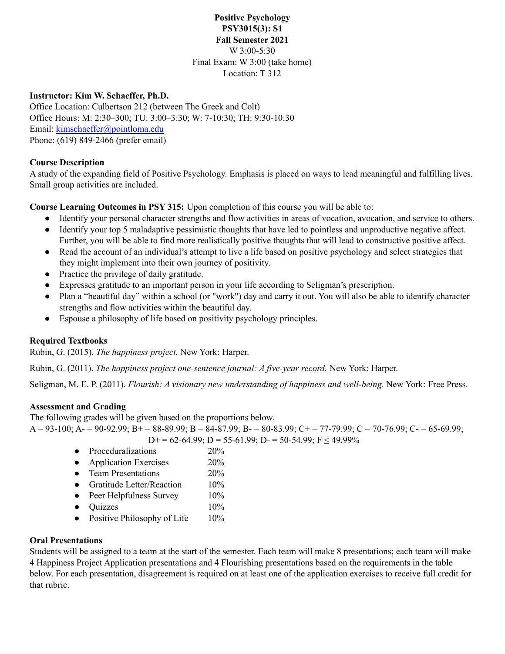#### **Positive Psychology PSY3015(3): S1 Fall Semester 2021** W 3:00-5:30 Final Exam: W 3:00 (take home) Location: T 312

#### **Instructor: Kim W. Schaeffer, Ph.D.**

Office Location: Culbertson 212 (between The Greek and Colt) Office Hours: M: 2:30–300; TU: 3:00–3:30; W: 7-10:30; TH: 9:30-10:30 Email: kimschaeffer@pointloma.edu Phone: (619) 849-2466 (prefer email)

#### **Course Description**

A study of the expanding field of Positive Psychology. Emphasis is placed on ways to lead meaningful and fulfilling lives. Small group activities are included.

**Course Learning Outcomes in PSY 315:** Upon completion of this course you will be able to:

- Identify your personal character strengths and flow activities in areas of vocation, avocation, and service to others.
- Identify your top 5 maladaptive pessimistic thoughts that have led to pointless and unproductive negative affect. Further, you will be able to find more realistically positive thoughts that will lead to constructive positive affect.
- Read the account of an individual's attempt to live a life based on positive psychology and select strategies that they might implement into their own journey of positivity.
- Practice the privilege of daily gratitude.
- Expresses gratitude to an important person in your life according to Seligman's prescription.
- Plan a "beautiful day" within a school (or "work") day and carry it out. You will also be able to identify character strengths and flow activities within the beautiful day.
- Espouse a philosophy of life based on positivity psychology principles.

#### **Required Textbooks**

Rubin, G. (2015). *The happiness project.* New York: Harper.

Rubin, G. (2011). *The happiness project one-sentence journal: A five-year record.* New York: Harper.

Seligman, M. E. P. (2011). *Flourish: A visionary new understanding of happiness and well-being.* New York: Free Press.

#### **Assessment and Grading**

The following grades will be given based on the proportions below.

 $A = 93-100$ ;  $A = 90-92.99$ ;  $B = 88-89.99$ ;  $B = 84-87.99$ ;  $B = 80-83.99$ ;  $C + 77-79.99$ ;  $C = 70-76.99$ ;  $C = 65-69.99$ ;  $D+= 62-64.99$ ;  $D = 55-61.99$ ;  $D = 50-54.99$ ;  $F < 49.99\%$ 

- Proceduralizations 20%
- Application Exercises 20%
- Team Presentations 20%
- Gratitude Letter/Reaction 10%
- Peer Helpfulness Survey 10%
- Quizzes 10%
- Positive Philosophy of Life 10%

#### **Oral Presentations**

Students will be assigned to a team at the start of the semester. Each team will make 8 presentations; each team will make 4 Happiness Project Application presentations and 4 Flourishing presentations based on the requirements in the table below. For each presentation, disagreement is required on at least one of the application exercises to receive full credit for that rubric.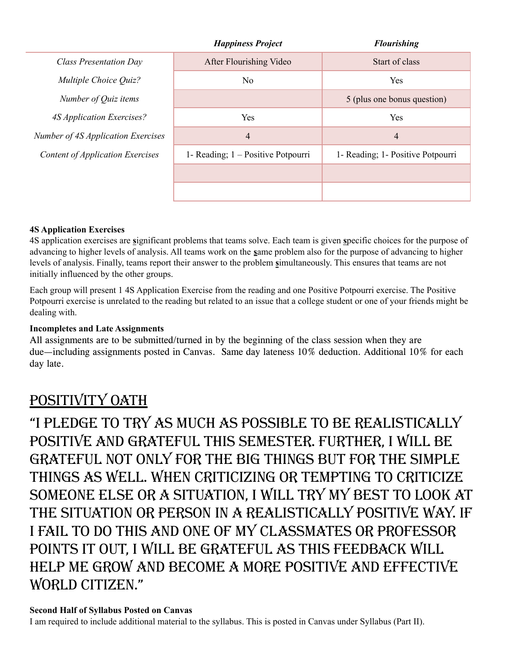|                                    | <b>Happiness Project</b>           | <b>Flourishing</b>                |
|------------------------------------|------------------------------------|-----------------------------------|
| <b>Class Presentation Day</b>      | After Flourishing Video            | Start of class                    |
| Multiple Choice Quiz?              | No.                                | Yes                               |
| Number of Quiz items               |                                    | 5 (plus one bonus question)       |
| 4S Application Exercises?          | Yes                                | Yes                               |
| Number of 4S Application Exercises | $\overline{4}$                     | 4                                 |
| Content of Application Exercises   | 1- Reading; 1 - Positive Potpourri | 1- Reading; 1- Positive Potpourri |
|                                    |                                    |                                   |
|                                    |                                    |                                   |

## **4S Application Exercises**

4S application exercises are **s**ignificant problems that teams solve. Each team is given **s**pecific choices for the purpose of advancing to higher levels of analysis. All teams work on the **s**ame problem also for the purpose of advancing to higher levels of analysis. Finally, teams report their answer to the problem **s**imultaneously. This ensures that teams are not initially influenced by the other groups.

Each group will present 1 4S Application Exercise from the reading and one Positive Potpourri exercise. The Positive Potpourri exercise is unrelated to the reading but related to an issue that a college student or one of your friends might be dealing with.

## **Incompletes and Late Assignments**

All assignments are to be submitted/turned in by the beginning of the class session when they are due—including assignments posted in Canvas. Same day lateness 10% deduction. Additional 10% for each day late.

# POSITIVITY OATH

"I pledge to try as much as possible to be realistically positive and grateful this semester. Further, I will be grateful not only for the big things but for the simple things as well. When criticizing or tempting to criticize someone else or a situation, I will try my best to look at the situation or person in a realistically positive way. If I fail to do this and one of my classmates or professor points it out, I will be grateful as this feedback will help me grow and become a more positive and effective WORLD CITIZEN."

## **Second Half of Syllabus Posted on Canvas**

I am required to include additional material to the syllabus. This is posted in Canvas under Syllabus (Part II).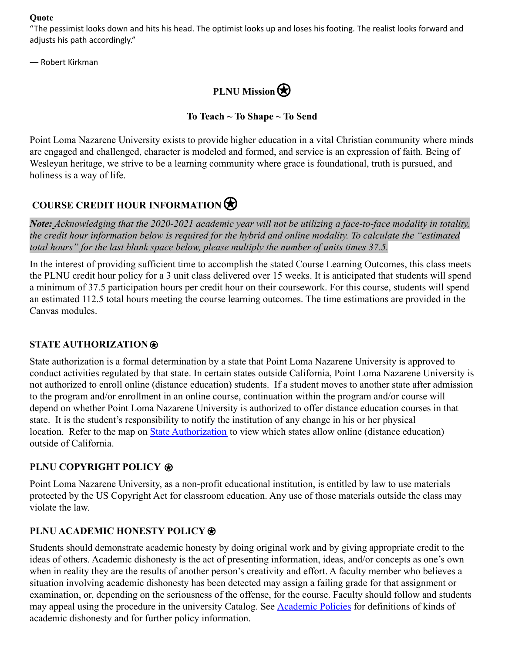#### **Quote**

"The pessimist looks down and hits his head. The optimist looks up and loses his footing. The realist looks forward and adjusts his path accordingly."

― Robert Kirkman



## **To Teach ~ To Shape ~ To Send**

Point Loma Nazarene University exists to provide higher education in a vital Christian community where minds are engaged and challenged, character is modeled and formed, and service is an expression of faith. Being of Wesleyan heritage, we strive to be a learning community where grace is foundational, truth is pursued, and holiness is a way of life.

## **COURSE CREDIT HOUR INFORMATION**⍟

*Note: Acknowledging that the 2020-2021 academic year will not be utilizing a face-to-face modality in totality, the credit hour information below is required for the hybrid and online modality. To calculate the "estimated total hours" for the last blank space below, please multiply the number of units times 37.5.*

In the interest of providing sufficient time to accomplish the stated Course Learning Outcomes, this class meets the PLNU credit hour policy for a 3 unit class delivered over 15 weeks. It is anticipated that students will spend a minimum of 37.5 participation hours per credit hour on their coursework. For this course, students will spend an estimated 112.5 total hours meeting the course learning outcomes. The time estimations are provided in the Canvas modules.

## **STATE AUTHORIZATION**⍟

State authorization is a formal determination by a state that Point Loma Nazarene University is approved to conduct activities regulated by that state. In certain states outside California, Point Loma Nazarene University is not authorized to enroll online (distance education) students. If a student moves to another state after admission to the program and/or enrollment in an online course, continuation within the program and/or course will depend on whether Point Loma Nazarene University is authorized to offer distance education courses in that state. It is the student's responsibility to notify the institution of any change in his or her physical location. Refer to the map on [State Authorization](https://www.pointloma.edu/offices/office-institutional-effectiveness-research/disclosures) to view which states allow online (distance education) outside of California.

## **PLNU COPYRIGHT POLICY <b>⊛**

Point Loma Nazarene University, as a non-profit educational institution, is entitled by law to use materials protected by the US Copyright Act for classroom education. Any use of those materials outside the class may violate the law.

## **PLNU ACADEMIC HONESTY POLICY <sup><sup><b>⊗</sup>**</sup></sup>

Students should demonstrate academic honesty by doing original work and by giving appropriate credit to the ideas of others. Academic dishonesty is the act of presenting information, ideas, and/or concepts as one's own when in reality they are the results of another person's creativity and effort. A faculty member who believes a situation involving academic dishonesty has been detected may assign a failing grade for that assignment or examination, or, depending on the seriousness of the offense, for the course. Faculty should follow and students may appeal using the procedure in the university Catalog. See **[Academic Policies](https://catalog.pointloma.edu/content.php?catoid=41&navoid=2435#Academic_Honesty)** for definitions of kinds of academic dishonesty and for further policy information.